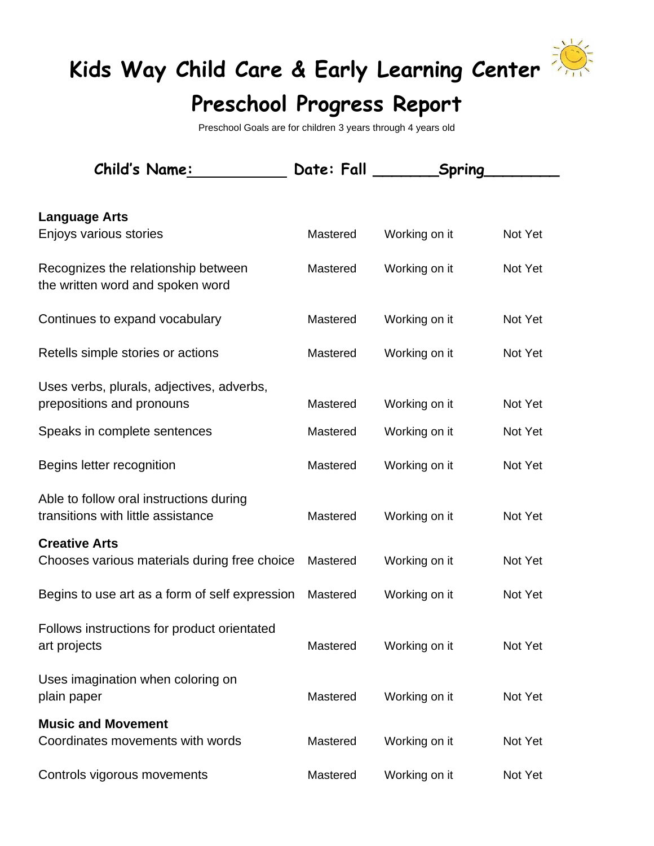## **Kids Way Child Care & Early Learning Center**



## **Preschool Progress Report**

Preschool Goals are for children 3 years through 4 years old

| <b>Child's Name:</b>                                                          | Date: Fall <b>Date:</b> Fall | Spring        |         |
|-------------------------------------------------------------------------------|------------------------------|---------------|---------|
|                                                                               |                              |               |         |
| <b>Language Arts</b>                                                          |                              |               |         |
| Enjoys various stories                                                        | Mastered                     | Working on it | Not Yet |
| Recognizes the relationship between<br>the written word and spoken word       | Mastered                     | Working on it | Not Yet |
| Continues to expand vocabulary                                                | Mastered                     | Working on it | Not Yet |
| Retells simple stories or actions                                             | Mastered                     | Working on it | Not Yet |
| Uses verbs, plurals, adjectives, adverbs,                                     |                              |               |         |
| prepositions and pronouns                                                     | Mastered                     | Working on it | Not Yet |
| Speaks in complete sentences                                                  | Mastered                     | Working on it | Not Yet |
| Begins letter recognition                                                     | Mastered                     | Working on it | Not Yet |
| Able to follow oral instructions during<br>transitions with little assistance | Mastered                     | Working on it | Not Yet |
| <b>Creative Arts</b>                                                          |                              |               |         |
| Chooses various materials during free choice                                  | Mastered                     | Working on it | Not Yet |
| Begins to use art as a form of self expression                                | Mastered                     | Working on it | Not Yet |
| Follows instructions for product orientated<br>art projects                   | Mastered                     | Working on it | Not Yet |
| Uses imagination when coloring on<br>plain paper                              | Mastered                     | Working on it | Not Yet |
| <b>Music and Movement</b>                                                     |                              |               |         |
| Coordinates movements with words                                              | Mastered                     | Working on it | Not Yet |
| Controls vigorous movements                                                   | Mastered                     | Working on it | Not Yet |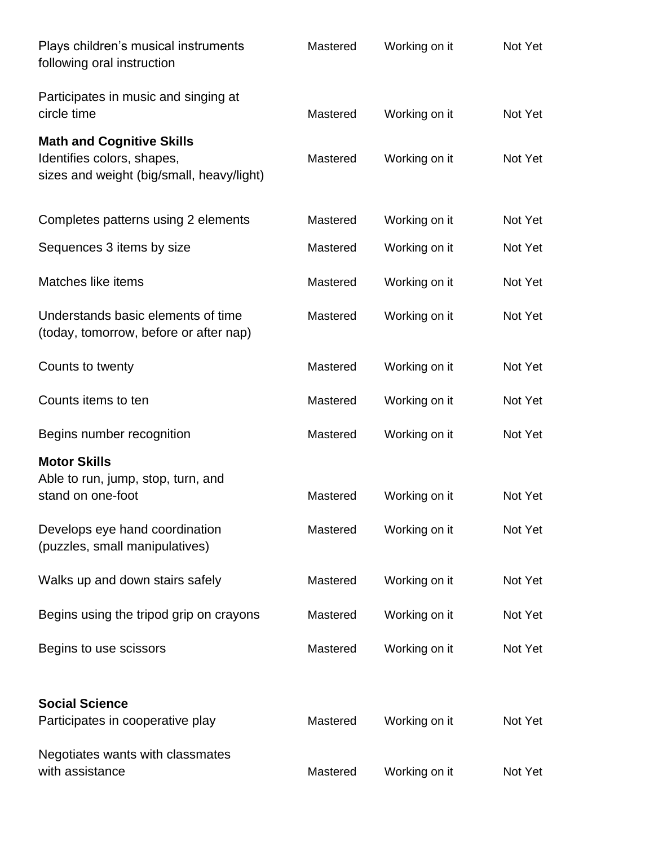| Plays children's musical instruments<br>following oral instruction                                          | Mastered | Working on it | Not Yet |
|-------------------------------------------------------------------------------------------------------------|----------|---------------|---------|
| Participates in music and singing at<br>circle time                                                         | Mastered | Working on it | Not Yet |
| <b>Math and Cognitive Skills</b><br>Identifies colors, shapes,<br>sizes and weight (big/small, heavy/light) | Mastered | Working on it | Not Yet |
| Completes patterns using 2 elements                                                                         | Mastered | Working on it | Not Yet |
| Sequences 3 items by size                                                                                   | Mastered | Working on it | Not Yet |
| Matches like items                                                                                          | Mastered | Working on it | Not Yet |
| Understands basic elements of time<br>(today, tomorrow, before or after nap)                                | Mastered | Working on it | Not Yet |
| Counts to twenty                                                                                            | Mastered | Working on it | Not Yet |
| Counts items to ten                                                                                         | Mastered | Working on it | Not Yet |
| Begins number recognition                                                                                   | Mastered | Working on it | Not Yet |
| <b>Motor Skills</b><br>Able to run, jump, stop, turn, and<br>stand on one-foot                              | Mastered | Working on it | Not Yet |
| Develops eye hand coordination<br>(puzzles, small manipulatives)                                            | Mastered | Working on it | Not Yet |
| Walks up and down stairs safely                                                                             | Mastered | Working on it | Not Yet |
| Begins using the tripod grip on crayons                                                                     | Mastered | Working on it | Not Yet |
| Begins to use scissors                                                                                      | Mastered | Working on it | Not Yet |
| <b>Social Science</b><br>Participates in cooperative play                                                   | Mastered | Working on it | Not Yet |
| Negotiates wants with classmates<br>with assistance                                                         | Mastered | Working on it | Not Yet |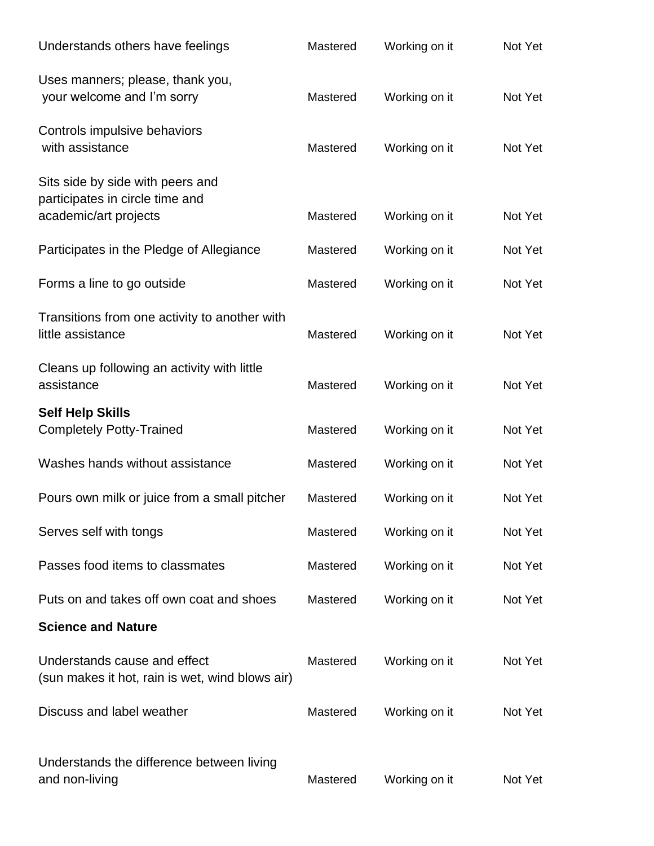| Understands others have feelings                                                | Mastered | Working on it | Not Yet |
|---------------------------------------------------------------------------------|----------|---------------|---------|
| Uses manners; please, thank you,<br>your welcome and I'm sorry                  | Mastered | Working on it | Not Yet |
| Controls impulsive behaviors<br>with assistance                                 | Mastered | Working on it | Not Yet |
| Sits side by side with peers and<br>participates in circle time and             |          |               |         |
| academic/art projects                                                           | Mastered | Working on it | Not Yet |
| Participates in the Pledge of Allegiance                                        | Mastered | Working on it | Not Yet |
| Forms a line to go outside                                                      | Mastered | Working on it | Not Yet |
| Transitions from one activity to another with<br>little assistance              | Mastered | Working on it | Not Yet |
| Cleans up following an activity with little<br>assistance                       | Mastered | Working on it | Not Yet |
| <b>Self Help Skills</b><br><b>Completely Potty-Trained</b>                      | Mastered | Working on it | Not Yet |
| Washes hands without assistance                                                 | Mastered | Working on it | Not Yet |
| Pours own milk or juice from a small pitcher                                    | Mastered | Working on it | Not Yet |
| Serves self with tongs                                                          | Mastered | Working on it | Not Yet |
| Passes food items to classmates                                                 | Mastered | Working on it | Not Yet |
| Puts on and takes off own coat and shoes                                        | Mastered | Working on it | Not Yet |
| <b>Science and Nature</b>                                                       |          |               |         |
| Understands cause and effect<br>(sun makes it hot, rain is wet, wind blows air) | Mastered | Working on it | Not Yet |
| Discuss and label weather                                                       | Mastered | Working on it | Not Yet |
| Understands the difference between living<br>and non-living                     | Mastered | Working on it | Not Yet |